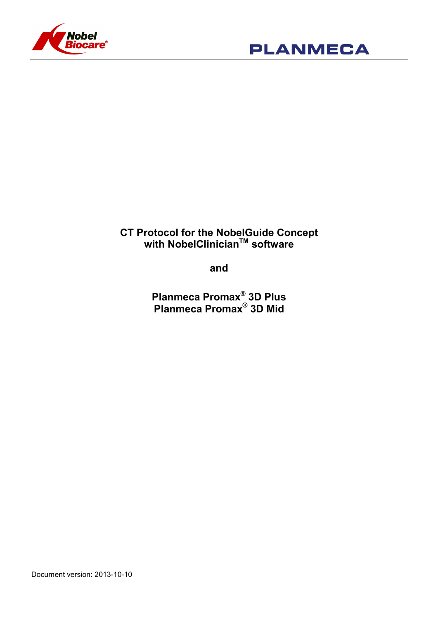



# CT Protocol for the NobelGuide Concept with NobelClinician<sup>™</sup> software

and

Planmeca Promax® 3D Plus Planmeca Promax® 3D Mid

Document version: 2013-10-10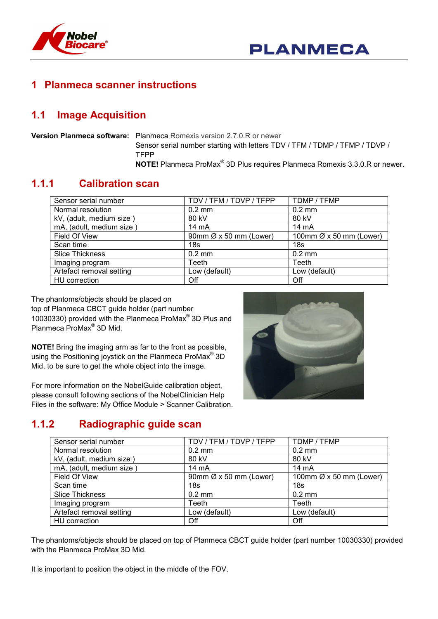

## **Planmeca scanner instructions**

## 1.1 Image Acquisition

Version Planmeca software: Planmeca Romexis version 2.7.0.R or newer Sensor serial number starting with letters TDV / TFM / TDMP / TFMP / TDVP / TFPP NOTE! Planmeca ProMax® 3D Plus requires Planmeca Romexis 3.3.0.R or newer.

#### 1.1.1 Calibration scan

| Sensor serial number     | TDV / TFM / TDVP / TFPP            | TDMP / TFMP                         |
|--------------------------|------------------------------------|-------------------------------------|
| Normal resolution        | $0.2 \text{ mm}$                   | $0.2 \text{ mm}$                    |
| kV, (adult, medium size) | 80 kV                              | 80 kV                               |
| mA, (adult, medium size) | $14 \text{ mA}$                    | $14 \text{ mA}$                     |
| Field Of View            | 90mm $\varnothing$ x 50 mm (Lower) | 100mm $\varnothing$ x 50 mm (Lower) |
| Scan time                | 18s                                | 18 <sub>s</sub>                     |
| <b>Slice Thickness</b>   | $0.2$ mm                           | $0.2$ mm                            |
| Imaging program          | Teeth                              | Teeth                               |
| Artefact removal setting | Low (default)                      | Low (default)                       |
| HU correction            | Off                                | Off                                 |

The phantoms/objects should be placed on top of Planmeca CBCT guide holder (part number 10030330) provided with the Planmeca ProMax® 3D Plus and Planmeca ProMax® 3D Mid.

NOTE! Bring the imaging arm as far to the front as possible, using the Positioning joystick on the Planmeca ProMax<sup>®</sup> 3D Mid, to be sure to get the whole object into the image.

For more information on the NobelGuide calibration object, please consult following sections of the NobelClinician Help Files in the software: My Office Module > Scanner Calibration.



## 1.1.2 Radiographic guide scan

| Sensor serial number     | TDV / TFM / TDVP / TFPP            | TDMP / TFMP             |
|--------------------------|------------------------------------|-------------------------|
| Normal resolution        | $0.2 \text{ mm}$                   | $0.2$ mm                |
| kV, (adult, medium size) | 80 kV                              | 80 kV                   |
| mA, (adult, medium size) | 14 mA                              | 14 mA                   |
| Field Of View            | 90mm $\varnothing$ x 50 mm (Lower) | 100mm Ø x 50 mm (Lower) |
| Scan time                | 18s                                | 18 <sub>s</sub>         |
| <b>Slice Thickness</b>   | $0.2 \text{ mm}$                   | $0.2$ mm                |
| Imaging program          | Teeth                              | Teeth                   |
| Artefact removal setting | Low (default)                      | Low (default)           |
| HU correction            | Off                                | Off                     |

The phantoms/objects should be placed on top of Planmeca CBCT guide holder (part number 10030330) provided with the Planmeca ProMax 3D Mid.

It is important to position the object in the middle of the FOV.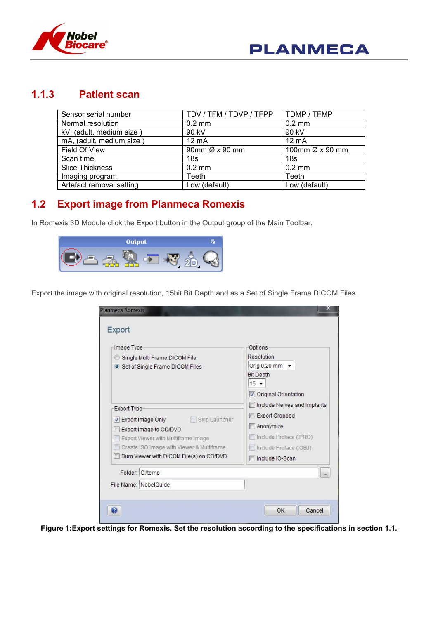

#### 1.1.3 Patient scan

| Sensor serial number     | TDV / TFM / TDVP / TFPP    | TDMP / TFMP      |
|--------------------------|----------------------------|------------------|
| Normal resolution        | $0.2 \text{ mm}$           | $0.2 \text{ mm}$ |
| kV, (adult, medium size) | 90 kV                      | 90 kV            |
| mA, (adult, medium size) | 12 mA                      | $12 \text{ mA}$  |
| Field Of View            | 90mm $\varnothing$ x 90 mm | 100mm Ø x 90 mm  |
| Scan time                | 18s                        | 18 <sub>S</sub>  |
| <b>Slice Thickness</b>   | $0.2$ mm                   | $0.2$ mm         |
| Imaging program          | Teeth                      | Teeth            |
| Artefact removal setting | Low (default)              | Low (default)    |

### 1.2 Export image from Planmeca Romexis

In Romexis 3D Module click the Export button in the Output group of the Main Toolbar.



Export the image with original resolution, 15bit Bit Depth and as a Set of Single Frame DICOM Files.

| Image Type<br>Single Multi Frame DICOM File<br>• Set of Single Frame DICOM Files<br><b>Export Type</b><br>Skip Launcher<br>Export image Only<br>Export image to CD/DVD<br>Export Viewer with Multiframe image<br>Create ISO image with Viewer & Multiframe | Options<br>Resolution<br>Orig 0,20 mm $\sim$<br><b>Bit Depth</b><br>$15 -$<br>Original Orientation<br>Include Nerves and Implants<br><b>Export Cropped</b><br>Anonymize<br>Include Proface (.PRO)<br>Include Proface (.OBJ) |
|------------------------------------------------------------------------------------------------------------------------------------------------------------------------------------------------------------------------------------------------------------|-----------------------------------------------------------------------------------------------------------------------------------------------------------------------------------------------------------------------------|
| Burn Viewer with DICOM File(s) on CD/DVD                                                                                                                                                                                                                   | Include IO-Scan                                                                                                                                                                                                             |
| Folder: C:\temp                                                                                                                                                                                                                                            | $\ddot{\phantom{a}}$                                                                                                                                                                                                        |
| File Name: NobelGuide                                                                                                                                                                                                                                      |                                                                                                                                                                                                                             |

Figure 1:Export settings for Romexis. Set the resolution according to the specifications in section 1.1.